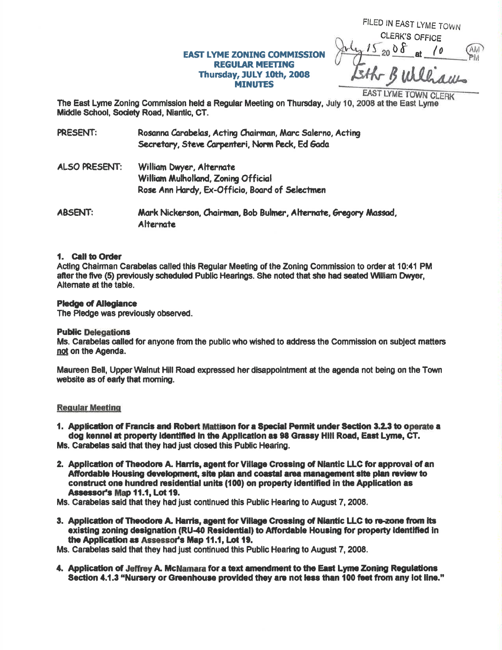# **EAST LYME ZONING COMMISSION REGULAR MEETING** Thursday, JULY 10th, 2008 **MINUTES**

FILED IN EAST LYME TOWN **CLERK'S OFFICE**  $15,008$ 

**EAST LYME TOWN CLERK** 

The East Lyme Zoning Commission held a Regular Meeting on Thursday, July 10, 2008 at the East Lyme Middle School, Society Road, Niantic, CT.

| PRESENT:       | Rosanna Carabelas, Acting Chairman, Marc Salerno, Acting<br>Secretary, Steve Carpenteri, Norm Peck, Ed Gada |
|----------------|-------------------------------------------------------------------------------------------------------------|
| ALSO PRESENT:  | William Dwyer, Alternate<br>William Mulholland, Zoning Official                                             |
|                | Rose Ann Hardy, Ex-Officio, Board of Selectmen                                                              |
| <b>ABSENT:</b> | Mark Nickerson, Chairman, Bob Bulmer, Alternate, Gregory Massad,<br>Alternate                               |

## 1. Call to Order

Acting Chairman Carabelas called this Regular Meeting of the Zoning Commission to order at 10:41 PM after the five (5) previously scheduled Public Hearings. She noted that she had seated William Dwyer, Alternate at the table.

## **Pledge of Allegiance**

The Pledge was previously observed.

## **Public Delegations**

Ms. Carabelas called for anyone from the public who wished to address the Commission on subject matters not on the Agenda.

Maureen Bell, Upper Walnut Hill Road expressed her disappointment at the agenda not being on the Town website as of early that morning.

## **Regular Meeting**

1. Application of Francis and Robert Mattison for a Special Permit under Section 3.2.3 to operate a dog kennel at property identified in the Application as 98 Grassy Hill Road, East Lyme, CT.

Ms. Carabelas said that they had just closed this Public Hearing.

2. Application of Theodore A. Harris, agent for Village Crossing of Niantic LLC for approval of an Affordable Housing development, site plan and coastal area management site plan review to construct one hundred residential units (100) on property identified in the Application as Assessor's Map 11.1, Lot 19.

Ms. Carabelas said that they had just continued this Public Hearing to August 7, 2008.

3. Application of Theodore A. Harris, agent for Village Crossing of Niantic LLC to re-zone from its existing zoning designation (RU-40 Residential) to Affordable Housing for property identified in the Application as Assessor's Map 11.1, Lot 19.

Ms. Carabelas said that they had just continued this Public Hearing to August 7, 2008.

4. Application of Jeffrey A. McNamara for a text amendment to the East Lyme Zoning Regulations Section 4.1.3 "Nursery or Greenhouse provided they are not less than 100 feet from any lot line."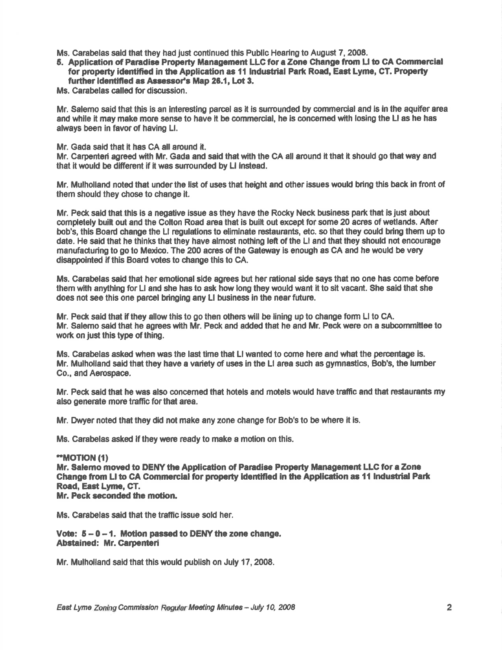- Ms. Carabelas said that they had just continued this Public Hearing to August 7, 2008.
- 5. Application of Paradise Property Management LLC for a Zone Change from LI to CA Commercial for property identified in the Application as 11 Industrial Park Road, East Lyme, CT. Property further identified as Assessor's Map 26.1, Lot 3.

Ms. Carabelas called for discussion.

Mr. Salemo said that this is an interesting parcel as it is surrounded by commercial and is in the aquifer area and while it may make more sense to have it be commercial, he is concerned with losing the LI as he has always been in favor of having Ll.

Mr. Gada said that it has CA all around it.

Mr. Carpenteri agreed with Mr. Gada and said that with the CA all around it that it should go that way and that it would be different if it was surrounded by LI instead.

Mr. Mulholland noted that under the list of uses that height and other issues would bring this back in front of them should they chose to change lt.

Mr. Peck sald that thls is a negative issue as they have the Rocky Neck business part that is just about completely built out and the Colton Road area that is built out except for some 20 acres of wetlands. After bob's, this Board change the LI regulations to eliminate restaurants, etc. so that they could bring them up to date. He said that he thinks that they have almost nothing left of the LI and that they should not encourage manufacturing to go to Mexico. The 200 acres of the Gateway is enough as CA and he would be very disappointed if this Board votes to change this to CA.

Ms. Carabelas said that her emotional slde agrees but her rational side says that no one has come before them with anythlng for Ll and she has to ask how long they would want it to sit vacent. She said that she does not see this one parcel bringing any LI business in the near future.

Mr. Peck said that if they allow this to go then others will be lining up to change form LI to CA. Mr. Salemo said that he agrees with Mr. Peck and added that he and Mr. Peck were on a subcommittee to work on just this type of thing.

Ms. Carabelas asked when was the last time that Llwanted to come here and what the percentage is. Mr. Mulholland said that they have a variety of uses in the LI area such as gymnastics, Bob's, the lumber Co., and Aerospace.

Mr. Peck said that he was also concerned that hotels and motels would have traffic and that restaurants my also generate more traffic for that area.

Mr. Dwyer noted that they did not make any zone change for Bob's to be where it is.

Ms. Carabelas asked if they were ready to make a motion on this.

#### $MOTION (1)$ Mr. Salemo moved to DENY the Application of Paradise Property Management LLC for a Zone Change from LI to CA Commercial for property identified in the Application as 11 Industrial Park Road, East Lyme, GT, Mr. Peck seconded the motion.

Ms. Canabelas said that the traffic issue sold her.

Vote:  $5 - 0 - 1$ . Motion passed to DENY the zone change. Abstained: Mr. Carpenteri

Mr. Mulholland said that this would publish on July 17, 2008.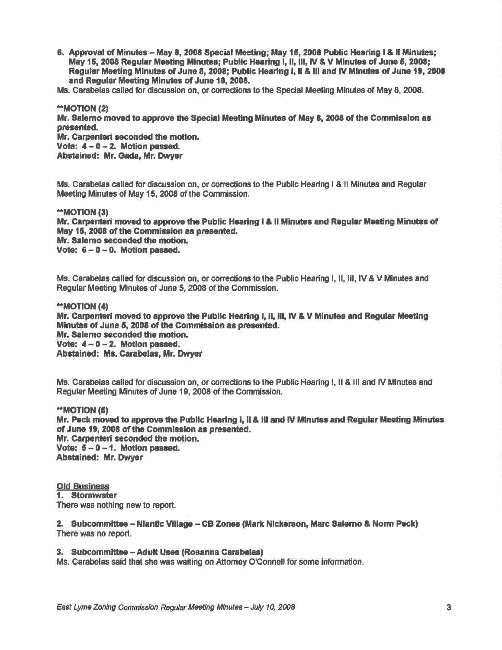6. Approval of Minutes - May 8, 2008 Special Meeting; May 15, 2008 Public Hearing I & Il Minutes; May 15, 2008 Regular Meeting Minutes; Public Hearing I, II, III, IV & V Minutes of June 5, 2008; Regular Meeting Minutes of June 5, 2008; Public Hearing I, II & III and IV Minutes of June 19, 2008 and Regular Meeting Minutes of June 19, 2008.

Ms. Carabelas celled for discussion on, or conedions to the Special Meetlng Minutes of May 8, 2008.

\*MOT|ON (21

Mr. Salemo moved to approve the Special Meeting Minutes of May 8, 2008 of the Commission as presented.

Mr. Carpenteri seconded the motion. Vote:  $4-0-2$ . Motion passed. Abstained: Mr. Gada, Mr. Dwver

Ms. Canabelas called for discussion on, or comedions to the Public Hearing I & ll Minutes and Regular Meeting Minutes of May 15, 2008 of the Commission.

\*MOT|ON (3)

Mr. Carpenteri moved to approve the Public Hearing I & II Minutes and Regular Meeting Minutes of May 15, 2008 of the Commission as presented. Mr. Salemo seconded the motion. Vote:  $6-0-0$ . Motion passed.

Ms. Carabelas called for discussion on, or corrections to the Public Hearing I, II, III, IV & V Minutes and Regular Meeting Minutes of June 5, 2008 of the Commission.

'fMoTtoN (41 Mr. Carpenteri moved to approve the Public Hearing I, II, III, IV & V Minutes and Regular Meeting Minutes of June 5, 2008 of the Commission as presented. Mr. \$alemo seconded the motion. Vote:  $4 - 0 - 2$ . Motion passed. Abstained: Ms. Carabelas, Mr. Dwyer

Ms. Carabelas called for discussion on, or corrections to the Public Hearing I, II & III and IV Minutes and Regular Meeting Minutes of June 19, 2008 of the Commission.

.'MOT|ON (51 Mr. Peck moved to approve the Public Hearing I, II & III and IV Minutes and Regular Meeting Minutes of June 19, 2008 of the Commission as presented. Mr. Carpenteri seconded the motion. Vote:  $5-0-1$ . Motion passed. Abstained: Mr. Dwyer

Old Business<br>1. Stormwater There was nothing new to report.

2. Subcommittee - Niantic Village - CB Zones (Mark Nickerson, Marc Salerno & Norm Peck) There was no report.

## 3. Subcommittee - Adult Uses (Rosanna Carabelas)

Ms. Carabelas sald that she was waiting on Attomey O'Connell for some information.